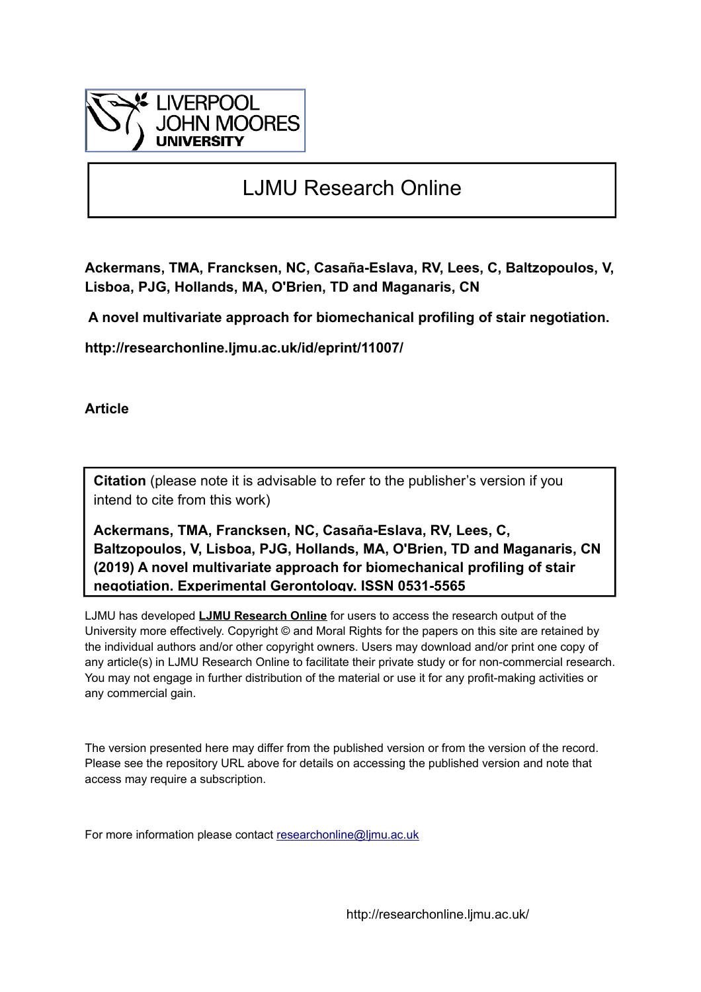

# LJMU Research Online

**Ackermans, TMA, Francksen, NC, Casaña-Eslava, RV, Lees, C, Baltzopoulos, V, Lisboa, PJG, Hollands, MA, O'Brien, TD and Maganaris, CN**

 **A novel multivariate approach for biomechanical profiling of stair negotiation.**

**http://researchonline.ljmu.ac.uk/id/eprint/11007/**

**Article**

**Citation** (please note it is advisable to refer to the publisher's version if you intend to cite from this work)

**Ackermans, TMA, Francksen, NC, Casaña-Eslava, RV, Lees, C, Baltzopoulos, V, Lisboa, PJG, Hollands, MA, O'Brien, TD and Maganaris, CN (2019) A novel multivariate approach for biomechanical profiling of stair negotiation. Experimental Gerontology. ISSN 0531-5565** 

LJMU has developed **[LJMU Research Online](http://researchonline.ljmu.ac.uk/)** for users to access the research output of the University more effectively. Copyright © and Moral Rights for the papers on this site are retained by the individual authors and/or other copyright owners. Users may download and/or print one copy of any article(s) in LJMU Research Online to facilitate their private study or for non-commercial research. You may not engage in further distribution of the material or use it for any profit-making activities or any commercial gain.

The version presented here may differ from the published version or from the version of the record. Please see the repository URL above for details on accessing the published version and note that access may require a subscription.

For more information please contact [researchonline@ljmu.ac.uk](mailto:researchonline@ljmu.ac.uk)

http://researchonline.ljmu.ac.uk/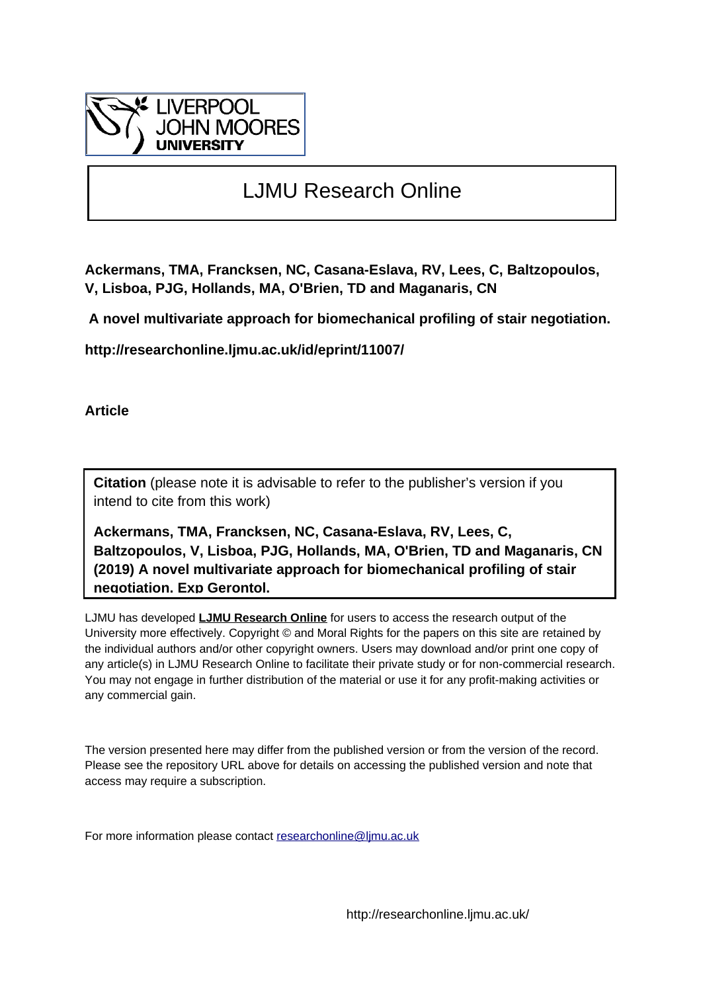

# LJMU Research Online

**Ackermans, TMA, Francksen, NC, Casana-Eslava, RV, Lees, C, Baltzopoulos, V, Lisboa, PJG, Hollands, MA, O'Brien, TD and Maganaris, CN**

 **A novel multivariate approach for biomechanical profiling of stair negotiation.**

**http://researchonline.ljmu.ac.uk/id/eprint/11007/**

**Article**

**Citation** (please note it is advisable to refer to the publisher's version if you intend to cite from this work)

**Ackermans, TMA, Francksen, NC, Casana-Eslava, RV, Lees, C, Baltzopoulos, V, Lisboa, PJG, Hollands, MA, O'Brien, TD and Maganaris, CN (2019) A novel multivariate approach for biomechanical profiling of stair negotiation. Exp Gerontol.** 

LJMU has developed **[LJMU Research Online](http://researchonline.ljmu.ac.uk/)** for users to access the research output of the University more effectively. Copyright © and Moral Rights for the papers on this site are retained by the individual authors and/or other copyright owners. Users may download and/or print one copy of any article(s) in LJMU Research Online to facilitate their private study or for non-commercial research. You may not engage in further distribution of the material or use it for any profit-making activities or any commercial gain.

The version presented here may differ from the published version or from the version of the record. Please see the repository URL above for details on accessing the published version and note that access may require a subscription.

For more information please contact [researchonline@ljmu.ac.uk](mailto:researchonline@ljmu.ac.uk)

http://researchonline.ljmu.ac.uk/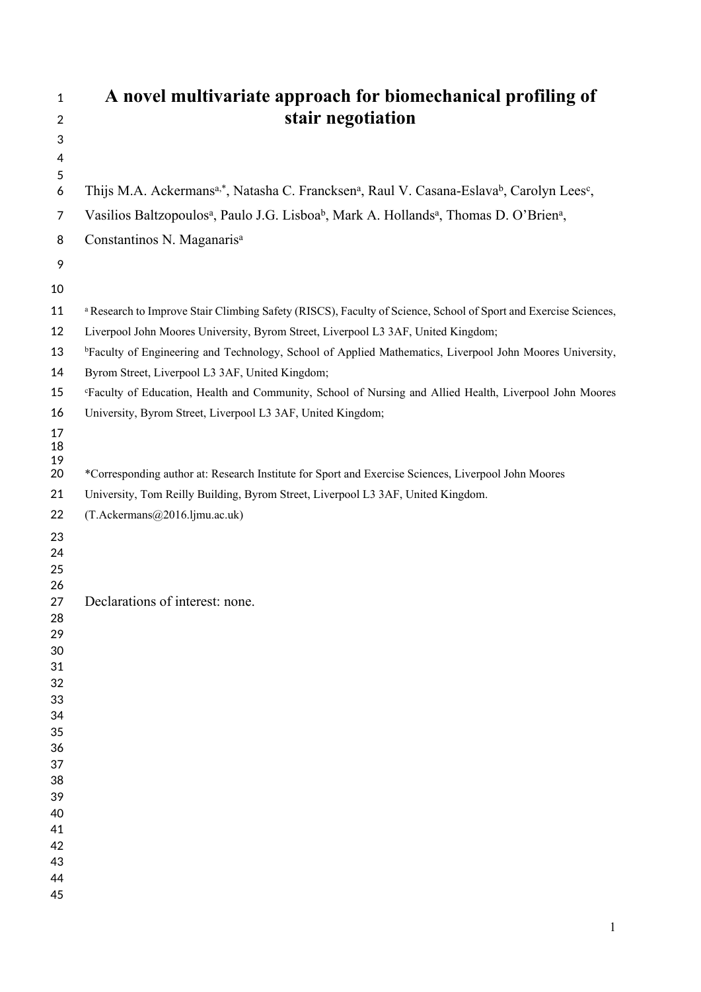| $\mathbf{1}$   | A novel multivariate approach for biomechanical profiling of                                                                               |
|----------------|--------------------------------------------------------------------------------------------------------------------------------------------|
| $\overline{2}$ | stair negotiation                                                                                                                          |
| 3              |                                                                                                                                            |
| 4              |                                                                                                                                            |
| 5              |                                                                                                                                            |
| 6              | Thijs M.A. Ackermans <sup>a,*</sup> , Natasha C. Francksen <sup>a</sup> , Raul V. Casana-Eslava <sup>b</sup> , Carolyn Lees <sup>c</sup> , |
| $\overline{7}$ | Vasilios Baltzopoulos <sup>a</sup> , Paulo J.G. Lisboa <sup>b</sup> , Mark A. Hollands <sup>a</sup> , Thomas D. O'Brien <sup>a</sup> ,     |
| 8              | Constantinos N. Maganaris <sup>a</sup>                                                                                                     |
| 9              |                                                                                                                                            |
| 10             |                                                                                                                                            |
| 11             | a Research to Improve Stair Climbing Safety (RISCS), Faculty of Science, School of Sport and Exercise Sciences,                            |
| 12             | Liverpool John Moores University, Byrom Street, Liverpool L3 3AF, United Kingdom;                                                          |
| 13             | <sup>b</sup> Faculty of Engineering and Technology, School of Applied Mathematics, Liverpool John Moores University,                       |
| 14             | Byrom Street, Liverpool L3 3AF, United Kingdom;                                                                                            |
| 15             | <sup>c</sup> Faculty of Education, Health and Community, School of Nursing and Allied Health, Liverpool John Moores                        |
| 16             | University, Byrom Street, Liverpool L3 3AF, United Kingdom;                                                                                |
| 17<br>18<br>19 |                                                                                                                                            |
| 20             | *Corresponding author at: Research Institute for Sport and Exercise Sciences, Liverpool John Moores                                        |
| 21             | University, Tom Reilly Building, Byrom Street, Liverpool L3 3AF, United Kingdom.                                                           |
| 22             | (T.Ackermans@2016.ljmu.ac.uk)                                                                                                              |
| 23             |                                                                                                                                            |
| 24             |                                                                                                                                            |
| 25             |                                                                                                                                            |
| 26             |                                                                                                                                            |
| 27             | Declarations of interest: none.                                                                                                            |
| 28<br>29       |                                                                                                                                            |
| 30             |                                                                                                                                            |
| 31             |                                                                                                                                            |
| 32             |                                                                                                                                            |
| 33             |                                                                                                                                            |
| 34             |                                                                                                                                            |
| 35<br>36       |                                                                                                                                            |
| 37             |                                                                                                                                            |
| 38             |                                                                                                                                            |
| 39             |                                                                                                                                            |
| 40             |                                                                                                                                            |
| 41             |                                                                                                                                            |
| 42             |                                                                                                                                            |
| 43<br>44       |                                                                                                                                            |
| 45             |                                                                                                                                            |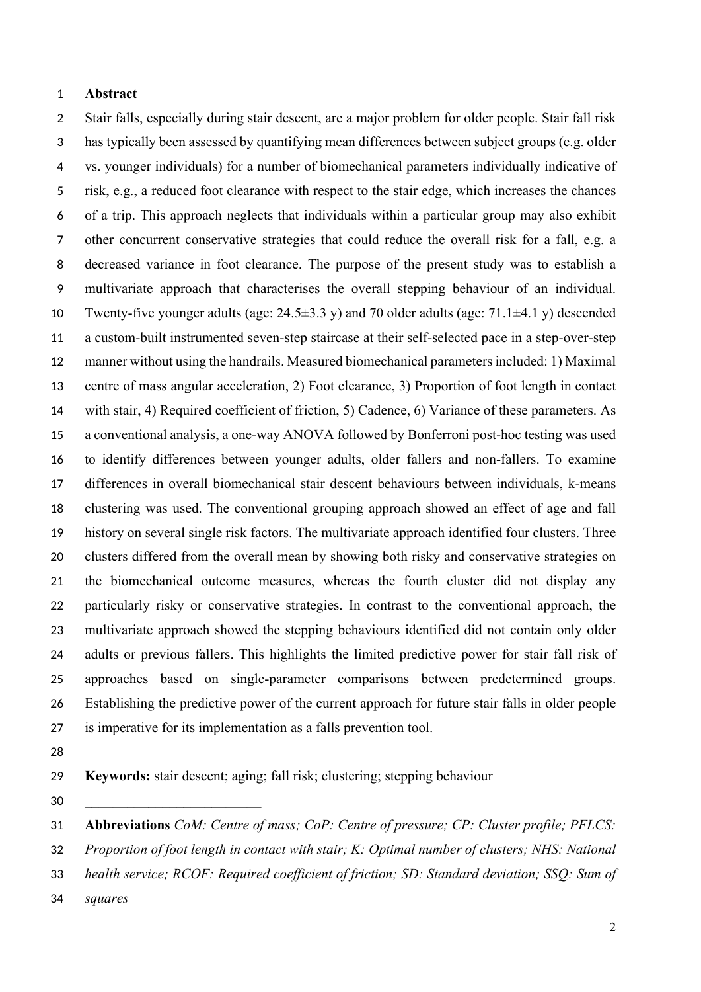#### **Abstract**

 Stair falls, especially during stair descent, are a major problem for older people. Stair fall risk has typically been assessed by quantifying mean differences between subject groups (e.g. older vs. younger individuals) for a number of biomechanical parameters individually indicative of risk, e.g., a reduced foot clearance with respect to the stair edge, which increases the chances of a trip. This approach neglects that individuals within a particular group may also exhibit other concurrent conservative strategies that could reduce the overall risk for a fall, e.g. a decreased variance in foot clearance. The purpose of the present study was to establish a multivariate approach that characterises the overall stepping behaviour of an individual. Twenty-five younger adults (age: 24.5±3.3 y) and 70 older adults (age: 71.1±4.1 y) descended a custom-built instrumented seven-step staircase at their self-selected pace in a step-over-step manner without using the handrails. Measured biomechanical parameters included: 1) Maximal centre of mass angular acceleration, 2) Foot clearance, 3) Proportion of foot length in contact with stair, 4) Required coefficient of friction, 5) Cadence, 6) Variance of these parameters. As a conventional analysis, a one-way ANOVA followed by Bonferroni post-hoc testing was used to identify differences between younger adults, older fallers and non-fallers. To examine differences in overall biomechanical stair descent behaviours between individuals, k-means clustering was used. The conventional grouping approach showed an effect of age and fall history on several single risk factors. The multivariate approach identified four clusters. Three clusters differed from the overall mean by showing both risky and conservative strategies on the biomechanical outcome measures, whereas the fourth cluster did not display any particularly risky or conservative strategies. In contrast to the conventional approach, the multivariate approach showed the stepping behaviours identified did not contain only older adults or previous fallers. This highlights the limited predictive power for stair fall risk of approaches based on single-parameter comparisons between predetermined groups. Establishing the predictive power of the current approach for future stair falls in older people is imperative for its implementation as a falls prevention tool.

**Keywords:** stair descent; aging; fall risk; clustering; stepping behaviour

**\_\_\_\_\_\_\_\_\_\_\_\_\_\_\_\_\_\_\_\_\_\_\_\_\_**

**Abbreviations** *CoM: Centre of mass; CoP: Centre of pressure; CP: Cluster profile; PFLCS:*

*Proportion of foot length in contact with stair; K: Optimal number of clusters; NHS: National* 

*health service; RCOF: Required coefficient of friction; SD: Standard deviation; SSQ: Sum of* 

*squares*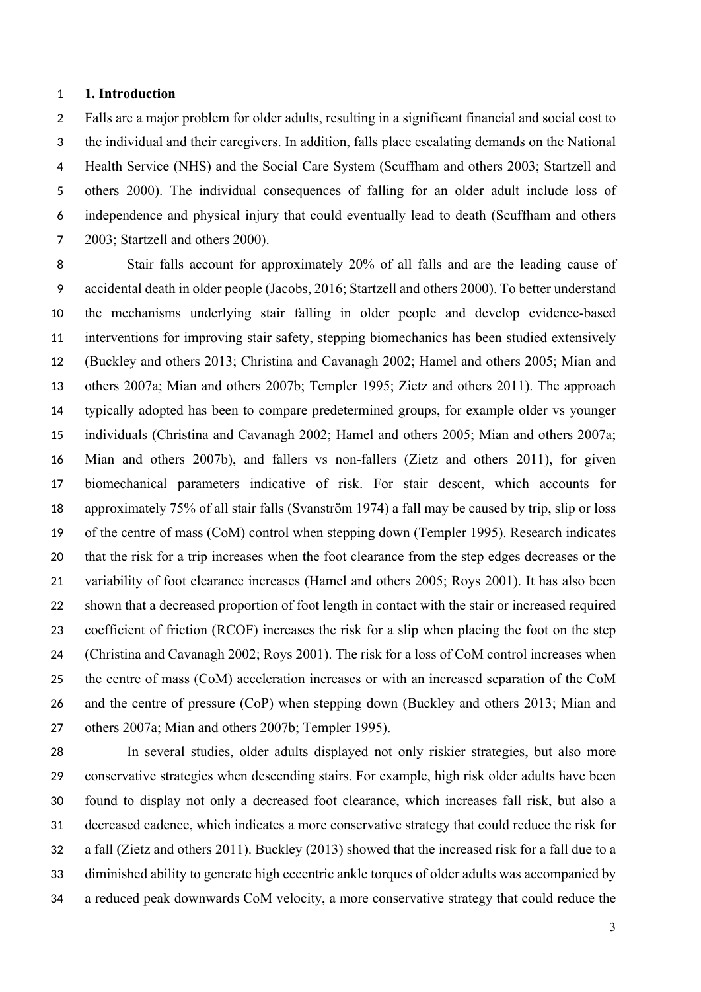#### **1. Introduction**

 Falls are a major problem for older adults, resulting in a significant financial and social cost to the individual and their caregivers. In addition, falls place escalating demands on the National Health Service (NHS) and the Social Care System (Scuffham and others 2003; Startzell and others 2000). The individual consequences of falling for an older adult include loss of independence and physical injury that could eventually lead to death (Scuffham and others 2003; Startzell and others 2000).

 Stair falls account for approximately 20% of all falls and are the leading cause of accidental death in older people (Jacobs, 2016; Startzell and others 2000). To better understand the mechanisms underlying stair falling in older people and develop evidence-based interventions for improving stair safety, stepping biomechanics has been studied extensively (Buckley and others 2013; Christina and Cavanagh 2002; Hamel and others 2005; Mian and others 2007a; Mian and others 2007b; Templer 1995; Zietz and others 2011). The approach typically adopted has been to compare predetermined groups, for example older vs younger individuals (Christina and Cavanagh 2002; Hamel and others 2005; Mian and others 2007a; Mian and others 2007b), and fallers vs non-fallers (Zietz and others 2011), for given biomechanical parameters indicative of risk. For stair descent, which accounts for approximately 75% of all stair falls (Svanström 1974) a fall may be caused by trip, slip or loss of the centre of mass (CoM) control when stepping down (Templer 1995). Research indicates that the risk for a trip increases when the foot clearance from the step edges decreases or the variability of foot clearance increases (Hamel and others 2005; Roys 2001). It has also been shown that a decreased proportion of foot length in contact with the stair or increased required coefficient of friction (RCOF) increases the risk for a slip when placing the foot on the step (Christina and Cavanagh 2002; Roys 2001). The risk for a loss of CoM control increases when the centre of mass (CoM) acceleration increases or with an increased separation of the CoM and the centre of pressure (CoP) when stepping down (Buckley and others 2013; Mian and others 2007a; Mian and others 2007b; Templer 1995).

 In several studies, older adults displayed not only riskier strategies, but also more conservative strategies when descending stairs. For example, high risk older adults have been found to display not only a decreased foot clearance, which increases fall risk, but also a decreased cadence, which indicates a more conservative strategy that could reduce the risk for a fall (Zietz and others 2011). Buckley (2013) showed that the increased risk for a fall due to a diminished ability to generate high eccentric ankle torques of older adults was accompanied by a reduced peak downwards CoM velocity, a more conservative strategy that could reduce the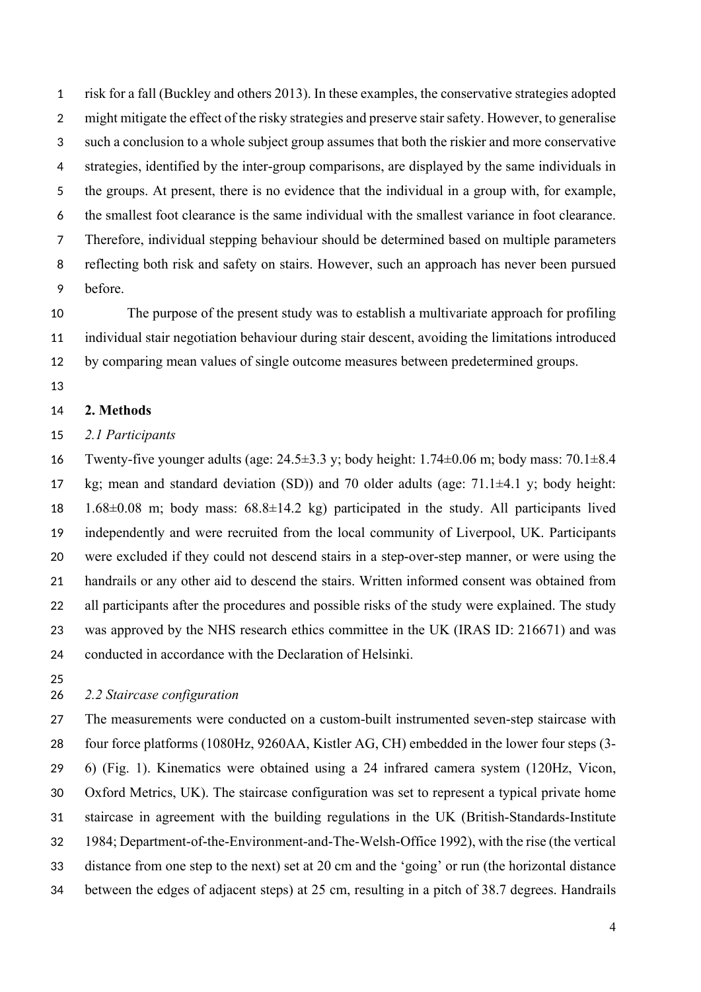risk for a fall (Buckley and others 2013). In these examples, the conservative strategies adopted might mitigate the effect of the risky strategies and preserve stair safety. However, to generalise such a conclusion to a whole subject group assumes that both the riskier and more conservative strategies, identified by the inter-group comparisons, are displayed by the same individuals in the groups. At present, there is no evidence that the individual in a group with, for example, the smallest foot clearance is the same individual with the smallest variance in foot clearance. Therefore, individual stepping behaviour should be determined based on multiple parameters reflecting both risk and safety on stairs. However, such an approach has never been pursued before.

 The purpose of the present study was to establish a multivariate approach for profiling individual stair negotiation behaviour during stair descent, avoiding the limitations introduced by comparing mean values of single outcome measures between predetermined groups.

#### **2. Methods**

#### *2.1 Participants*

16 Twenty-five younger adults (age:  $24.5\pm3.3$  y; body height:  $1.74\pm0.06$  m; body mass:  $70.1\pm8.4$  kg; mean and standard deviation (SD)) and 70 older adults (age: 71.1±4.1 y; body height: 1.68±0.08 m; body mass: 68.8±14.2 kg) participated in the study. All participants lived independently and were recruited from the local community of Liverpool, UK. Participants were excluded if they could not descend stairs in a step-over-step manner, or were using the handrails or any other aid to descend the stairs. Written informed consent was obtained from all participants after the procedures and possible risks of the study were explained. The study was approved by the NHS research ethics committee in the UK (IRAS ID: 216671) and was conducted in accordance with the Declaration of Helsinki.

### *2.2 Staircase configuration*

 The measurements were conducted on a custom-built instrumented seven-step staircase with four force platforms (1080Hz, 9260AA, Kistler AG, CH) embedded in the lower four steps (3- 6) (Fig. 1). Kinematics were obtained using a 24 infrared camera system (120Hz, Vicon, Oxford Metrics, UK). The staircase configuration was set to represent a typical private home staircase in agreement with the building regulations in the UK (British-Standards-Institute 1984; Department-of-the-Environment-and-The-Welsh-Office 1992), with the rise (the vertical distance from one step to the next) set at 20 cm and the 'going' or run (the horizontal distance between the edges of adjacent steps) at 25 cm, resulting in a pitch of 38.7 degrees. Handrails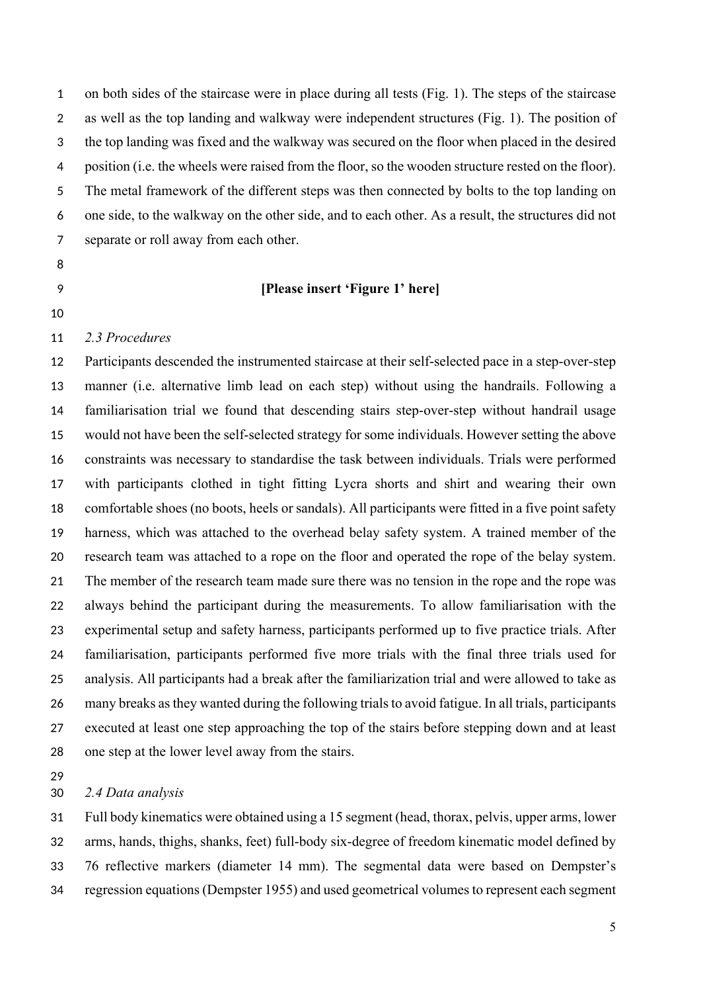on both sides of the staircase were in place during all tests (Fig. 1). The steps of the staircase as well as the top landing and walkway were independent structures (Fig. 1). The position of the top landing was fixed and the walkway was secured on the floor when placed in the desired position (i.e. the wheels were raised from the floor, so the wooden structure rested on the floor). The metal framework of the different steps was then connected by bolts to the top landing on one side, to the walkway on the other side, and to each other. As a result, the structures did not separate or roll away from each other.

- 
- 

#### **[Please insert 'Figure 1' here]**

*2.3 Procedures*

 Participants descended the instrumented staircase at their self-selected pace in a step-over-step manner (i.e. alternative limb lead on each step) without using the handrails. Following a familiarisation trial we found that descending stairs step-over-step without handrail usage would not have been the self-selected strategy for some individuals. However setting the above constraints was necessary to standardise the task between individuals. Trials were performed with participants clothed in tight fitting Lycra shorts and shirt and wearing their own comfortable shoes (no boots, heels or sandals). All participants were fitted in a five point safety harness, which was attached to the overhead belay safety system. A trained member of the research team was attached to a rope on the floor and operated the rope of the belay system. The member of the research team made sure there was no tension in the rope and the rope was always behind the participant during the measurements. To allow familiarisation with the experimental setup and safety harness, participants performed up to five practice trials. After familiarisation, participants performed five more trials with the final three trials used for analysis. All participants had a break after the familiarization trial and were allowed to take as many breaks as they wanted during the following trials to avoid fatigue. In all trials, participants executed at least one step approaching the top of the stairs before stepping down and at least one step at the lower level away from the stairs.

## *2.4 Data analysis*

 Full body kinematics were obtained using a 15 segment (head, thorax, pelvis, upper arms, lower arms, hands, thighs, shanks, feet) full-body six-degree of freedom kinematic model defined by 76 reflective markers (diameter 14 mm). The segmental data were based on Dempster's regression equations (Dempster 1955) and used geometrical volumes to represent each segment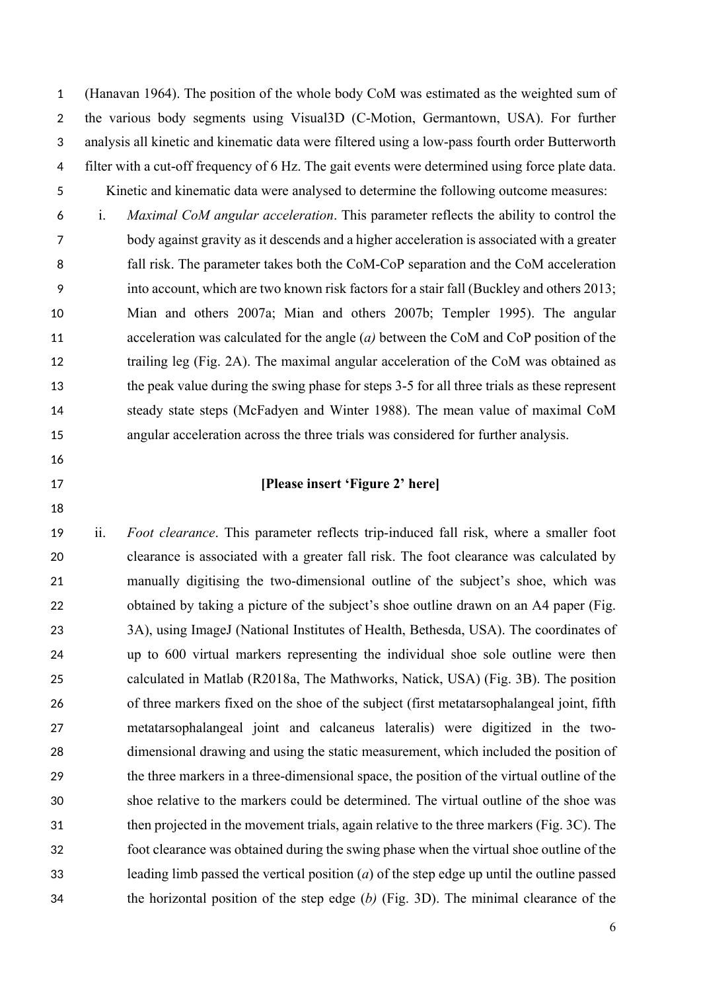(Hanavan 1964). The position of the whole body CoM was estimated as the weighted sum of the various body segments using Visual3D (C-Motion, Germantown, USA). For further analysis all kinetic and kinematic data were filtered using a low-pass fourth order Butterworth filter with a cut-off frequency of 6 Hz. The gait events were determined using force plate data. Kinetic and kinematic data were analysed to determine the following outcome measures:

 i. *Maximal CoM angular acceleration*. This parameter reflects the ability to control the body against gravity as it descends and a higher acceleration is associated with a greater fall risk. The parameter takes both the CoM-CoP separation and the CoM acceleration into account, which are two known risk factors for a stair fall (Buckley and others 2013; Mian and others 2007a; Mian and others 2007b; Templer 1995). The angular acceleration was calculated for the angle (*a)* between the CoM and CoP position of the trailing leg (Fig. 2A). The maximal angular acceleration of the CoM was obtained as the peak value during the swing phase for steps 3-5 for all three trials as these represent steady state steps (McFadyen and Winter 1988). The mean value of maximal CoM angular acceleration across the three trials was considered for further analysis.

- 
- 

#### **[Please insert 'Figure 2' here]**

 ii. *Foot clearance*. This parameter reflects trip-induced fall risk, where a smaller foot clearance is associated with a greater fall risk. The foot clearance was calculated by manually digitising the two-dimensional outline of the subject's shoe, which was obtained by taking a picture of the subject's shoe outline drawn on an A4 paper (Fig. 3A), using ImageJ (National Institutes of Health, Bethesda, USA). The coordinates of up to 600 virtual markers representing the individual shoe sole outline were then calculated in Matlab (R2018a, The Mathworks, Natick, USA) (Fig. 3B). The position of three markers fixed on the shoe of the subject (first metatarsophalangeal joint, fifth metatarsophalangeal joint and calcaneus lateralis) were digitized in the two- dimensional drawing and using the static measurement, which included the position of the three markers in a three-dimensional space, the position of the virtual outline of the shoe relative to the markers could be determined. The virtual outline of the shoe was then projected in the movement trials, again relative to the three markers (Fig. 3C). The foot clearance was obtained during the swing phase when the virtual shoe outline of the leading limb passed the vertical position (*a*) of the step edge up until the outline passed the horizontal position of the step edge (*b)* (Fig. 3D). The minimal clearance of the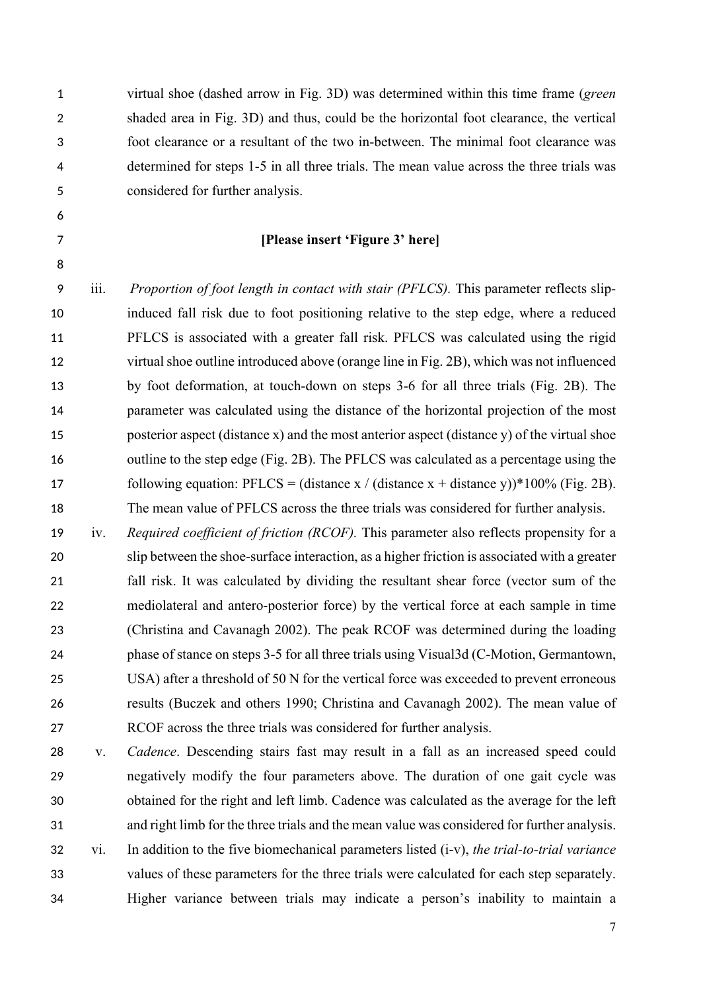virtual shoe (dashed arrow in Fig. 3D) was determined within this time frame (*green* shaded area in Fig. 3D) and thus, could be the horizontal foot clearance, the vertical foot clearance or a resultant of the two in-between. The minimal foot clearance was determined for steps 1-5 in all three trials. The mean value across the three trials was considered for further analysis.

### **[Please insert 'Figure 3' here]**

 iii. *Proportion of foot length in contact with stair (PFLCS).* This parameter reflects slip- induced fall risk due to foot positioning relative to the step edge, where a reduced PFLCS is associated with a greater fall risk. PFLCS was calculated using the rigid virtual shoe outline introduced above (orange line in Fig. 2B), which was not influenced by foot deformation, at touch-down on steps 3-6 for all three trials (Fig. 2B). The parameter was calculated using the distance of the horizontal projection of the most posterior aspect (distance x) and the most anterior aspect (distance y) of the virtual shoe outline to the step edge (Fig. 2B). The PFLCS was calculated as a percentage using the 17 following equation:  $PFLCS = (distance x / (distance x + distance y)) * 100%$  (Fig. 2B). The mean value of PFLCS across the three trials was considered for further analysis.

- iv. *Required coefficient of friction (RCOF).* This parameter also reflects propensity for a slip between the shoe-surface interaction, as a higher friction is associated with a greater fall risk. It was calculated by dividing the resultant shear force (vector sum of the mediolateral and antero-posterior force) by the vertical force at each sample in time (Christina and Cavanagh 2002). The peak RCOF was determined during the loading phase of stance on steps 3-5 for all three trials using Visual3d (C-Motion, Germantown, USA) after a threshold of 50 N for the vertical force was exceeded to prevent erroneous results (Buczek and others 1990; Christina and Cavanagh 2002). The mean value of RCOF across the three trials was considered for further analysis.
- v. *Cadence*. Descending stairs fast may result in a fall as an increased speed could negatively modify the four parameters above. The duration of one gait cycle was obtained for the right and left limb. Cadence was calculated as the average for the left and right limb for the three trials and the mean value was considered for further analysis. vi. In addition to the five biomechanical parameters listed (i-v), *the trial-to-trial variance*  values of these parameters for the three trials were calculated for each step separately. Higher variance between trials may indicate a person's inability to maintain a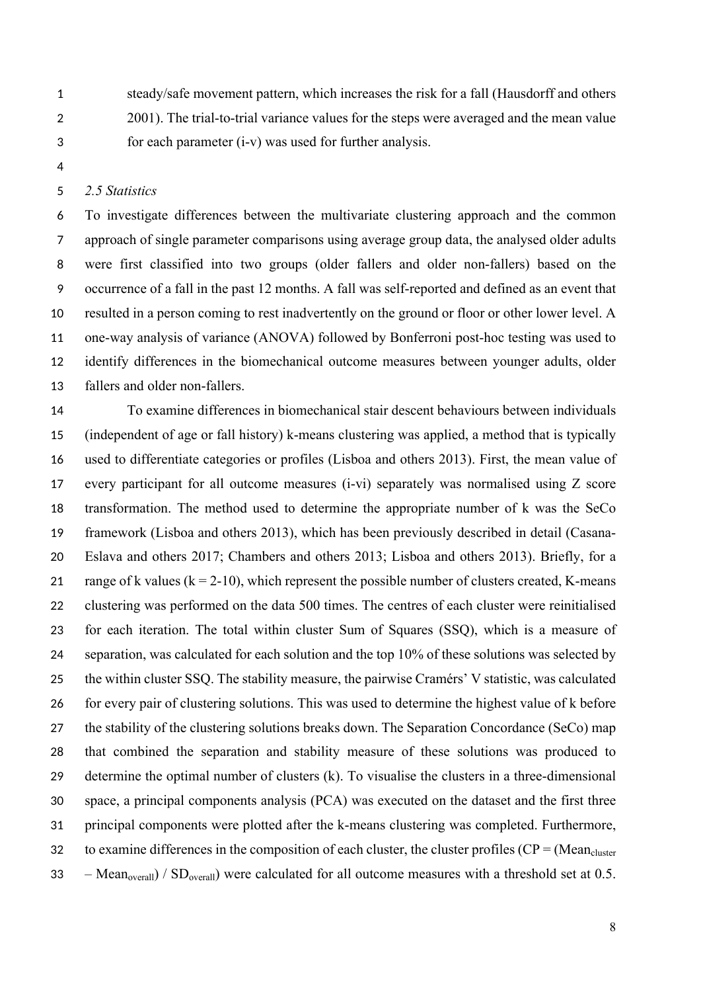steady/safe movement pattern, which increases the risk for a fall (Hausdorff and others 2001). The trial-to-trial variance values for the steps were averaged and the mean value for each parameter (i-v) was used for further analysis.

#### *2.5 Statistics*

 To investigate differences between the multivariate clustering approach and the common approach of single parameter comparisons using average group data, the analysed older adults were first classified into two groups (older fallers and older non-fallers) based on the occurrence of a fall in the past 12 months. A fall was self-reported and defined as an event that resulted in a person coming to rest inadvertently on the ground or floor or other lower level. A one-way analysis of variance (ANOVA) followed by Bonferroni post-hoc testing was used to identify differences in the biomechanical outcome measures between younger adults, older fallers and older non-fallers.

 To examine differences in biomechanical stair descent behaviours between individuals (independent of age or fall history) k-means clustering was applied, a method that is typically used to differentiate categories or profiles (Lisboa and others 2013). First, the mean value of every participant for all outcome measures (i-vi) separately was normalised using Z score transformation. The method used to determine the appropriate number of k was the SeCo framework (Lisboa and others 2013), which has been previously described in detail (Casana- Eslava and others 2017; Chambers and others 2013; Lisboa and others 2013). Briefly, for a 21 range of k values  $(k = 2-10)$ , which represent the possible number of clusters created, K-means clustering was performed on the data 500 times. The centres of each cluster were reinitialised for each iteration. The total within cluster Sum of Squares (SSQ), which is a measure of separation, was calculated for each solution and the top 10% of these solutions was selected by the within cluster SSQ. The stability measure, the pairwise Cramérs' V statistic, was calculated for every pair of clustering solutions. This was used to determine the highest value of k before the stability of the clustering solutions breaks down. The Separation Concordance (SeCo) map that combined the separation and stability measure of these solutions was produced to determine the optimal number of clusters (k). To visualise the clusters in a three-dimensional space, a principal components analysis (PCA) was executed on the dataset and the first three principal components were plotted after the k-means clustering was completed. Furthermore, 32 to examine differences in the composition of each cluster, the cluster profiles  $(CP = (Mean_{cluster})$ 33 – Mean<sub>overall</sub>) /  $SD<sub>overall</sub>$  were calculated for all outcome measures with a threshold set at 0.5.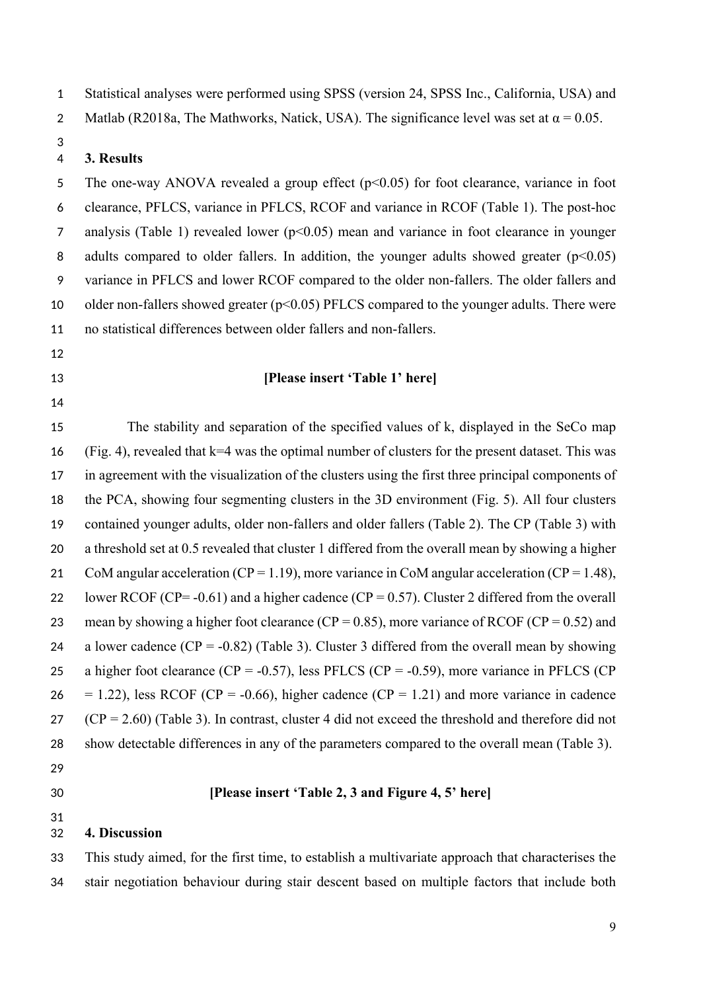Statistical analyses were performed using SPSS (version 24, SPSS Inc., California, USA) and 2 Matlab (R2018a, The Mathworks, Natick, USA). The significance level was set at  $\alpha = 0.05$ .

## 

### **3. Results**

5 The one-way ANOVA revealed a group effect (p<0.05) for foot clearance, variance in foot clearance, PFLCS, variance in PFLCS, RCOF and variance in RCOF (Table 1). The post-hoc analysis (Table 1) revealed lower (p<0.05) mean and variance in foot clearance in younger 8 adults compared to older fallers. In addition, the younger adults showed greater  $(p<0.05)$  variance in PFLCS and lower RCOF compared to the older non-fallers. The older fallers and 10 older non-fallers showed greater ( $p \le 0.05$ ) PFLCS compared to the younger adults. There were no statistical differences between older fallers and non-fallers.

- 
- 

#### **[Please insert 'Table 1' here]**

 The stability and separation of the specified values of k, displayed in the SeCo map 16 (Fig. 4), revealed that  $k=4$  was the optimal number of clusters for the present dataset. This was in agreement with the visualization of the clusters using the first three principal components of the PCA, showing four segmenting clusters in the 3D environment (Fig. 5). All four clusters contained younger adults, older non-fallers and older fallers (Table 2). The CP (Table 3) with a threshold set at 0.5 revealed that cluster 1 differed from the overall mean by showing a higher 21 CoM angular acceleration (CP = 1.19), more variance in CoM angular acceleration (CP = 1.48), 22 lower RCOF (CP= -0.61) and a higher cadence (CP = 0.57). Cluster 2 differed from the overall 23 mean by showing a higher foot clearance ( $CP = 0.85$ ), more variance of RCOF ( $CP = 0.52$ ) and 24 a lower cadence (CP = -0.82) (Table 3). Cluster 3 differed from the overall mean by showing 25 a higher foot clearance ( $CP = -0.57$ ), less PFLCS ( $CP = -0.59$ ), more variance in PFLCS ( $CP$  $26 = 1.22$ ), less RCOF (CP = -0.66), higher cadence (CP = 1.21) and more variance in cadence (CP = 2.60) (Table 3). In contrast, cluster 4 did not exceed the threshold and therefore did not show detectable differences in any of the parameters compared to the overall mean (Table 3).

- 
- 

#### 

## **[Please insert 'Table 2, 3 and Figure 4, 5' here]**

**4. Discussion**

 This study aimed, for the first time, to establish a multivariate approach that characterises the stair negotiation behaviour during stair descent based on multiple factors that include both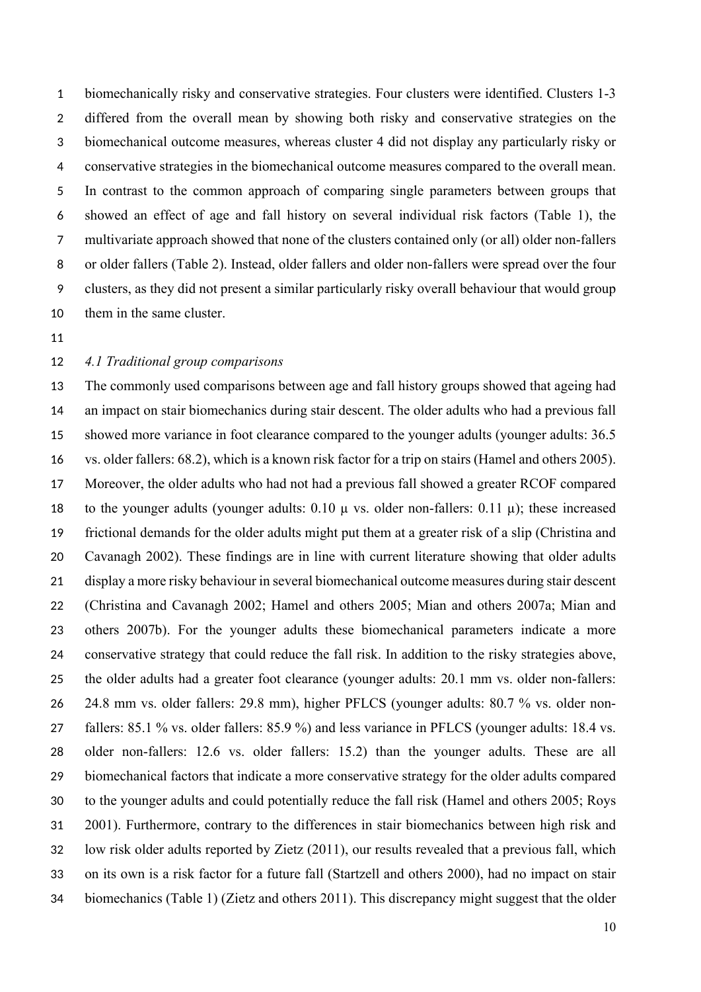biomechanically risky and conservative strategies. Four clusters were identified. Clusters 1-3 differed from the overall mean by showing both risky and conservative strategies on the biomechanical outcome measures, whereas cluster 4 did not display any particularly risky or conservative strategies in the biomechanical outcome measures compared to the overall mean. In contrast to the common approach of comparing single parameters between groups that showed an effect of age and fall history on several individual risk factors (Table 1), the multivariate approach showed that none of the clusters contained only (or all) older non-fallers or older fallers (Table 2). Instead, older fallers and older non-fallers were spread over the four clusters, as they did not present a similar particularly risky overall behaviour that would group them in the same cluster.

#### *4.1 Traditional group comparisons*

 The commonly used comparisons between age and fall history groups showed that ageing had an impact on stair biomechanics during stair descent. The older adults who had a previous fall showed more variance in foot clearance compared to the younger adults (younger adults: 36.5 vs. older fallers: 68.2), which is a known risk factor for a trip on stairs (Hamel and others 2005). Moreover, the older adults who had not had a previous fall showed a greater RCOF compared 18 to the younger adults (younger adults:  $0.10 \mu$  vs. older non-fallers:  $0.11 \mu$ ); these increased frictional demands for the older adults might put them at a greater risk of a slip (Christina and Cavanagh 2002). These findings are in line with current literature showing that older adults display a more risky behaviour in several biomechanical outcome measures during stair descent (Christina and Cavanagh 2002; Hamel and others 2005; Mian and others 2007a; Mian and others 2007b). For the younger adults these biomechanical parameters indicate a more conservative strategy that could reduce the fall risk. In addition to the risky strategies above, the older adults had a greater foot clearance (younger adults: 20.1 mm vs. older non-fallers: 24.8 mm vs. older fallers: 29.8 mm), higher PFLCS (younger adults: 80.7 % vs. older non- fallers: 85.1 % vs. older fallers: 85.9 %) and less variance in PFLCS (younger adults: 18.4 vs. older non-fallers: 12.6 vs. older fallers: 15.2) than the younger adults. These are all biomechanical factors that indicate a more conservative strategy for the older adults compared to the younger adults and could potentially reduce the fall risk (Hamel and others 2005; Roys 2001). Furthermore, contrary to the differences in stair biomechanics between high risk and low risk older adults reported by Zietz (2011), our results revealed that a previous fall, which on its own is a risk factor for a future fall (Startzell and others 2000), had no impact on stair biomechanics (Table 1) (Zietz and others 2011). This discrepancy might suggest that the older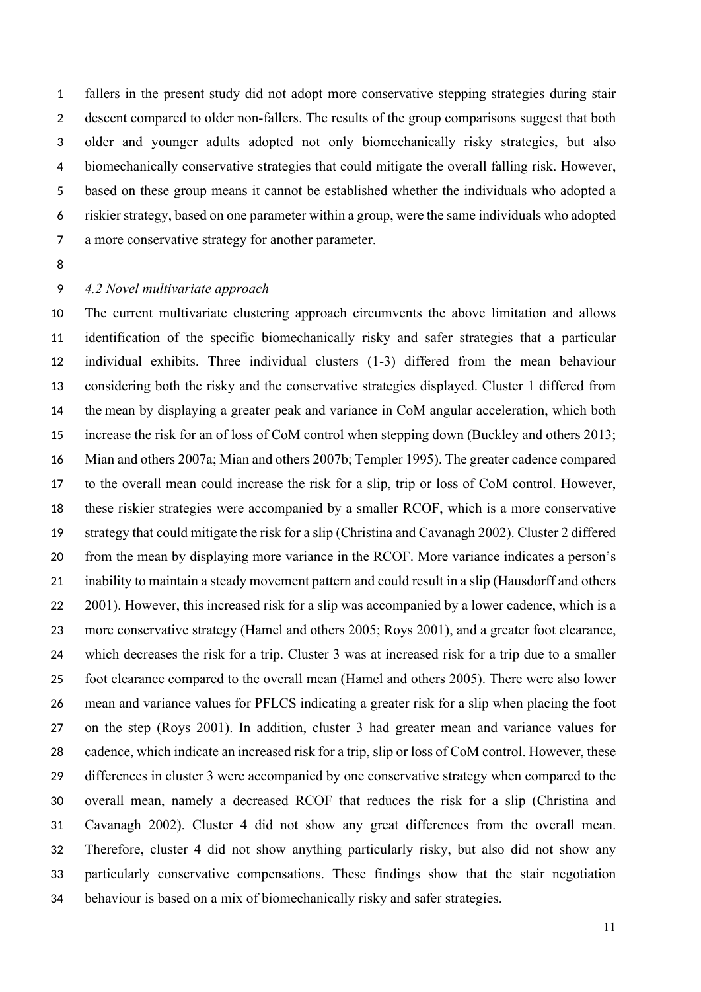fallers in the present study did not adopt more conservative stepping strategies during stair descent compared to older non-fallers. The results of the group comparisons suggest that both older and younger adults adopted not only biomechanically risky strategies, but also biomechanically conservative strategies that could mitigate the overall falling risk. However, based on these group means it cannot be established whether the individuals who adopted a riskier strategy, based on one parameter within a group, were the same individuals who adopted a more conservative strategy for another parameter.

#### *4.2 Novel multivariate approach*

 The current multivariate clustering approach circumvents the above limitation and allows identification of the specific biomechanically risky and safer strategies that a particular individual exhibits. Three individual clusters (1-3) differed from the mean behaviour considering both the risky and the conservative strategies displayed. Cluster 1 differed from the mean by displaying a greater peak and variance in CoM angular acceleration, which both increase the risk for an of loss of CoM control when stepping down (Buckley and others 2013; Mian and others 2007a; Mian and others 2007b; Templer 1995). The greater cadence compared to the overall mean could increase the risk for a slip, trip or loss of CoM control. However, these riskier strategies were accompanied by a smaller RCOF, which is a more conservative strategy that could mitigate the risk for a slip (Christina and Cavanagh 2002). Cluster 2 differed from the mean by displaying more variance in the RCOF. More variance indicates a person's inability to maintain a steady movement pattern and could result in a slip (Hausdorff and others 22 2001). However, this increased risk for a slip was accompanied by a lower cadence, which is a more conservative strategy (Hamel and others 2005; Roys 2001), and a greater foot clearance, which decreases the risk for a trip. Cluster 3 was at increased risk for a trip due to a smaller foot clearance compared to the overall mean (Hamel and others 2005). There were also lower mean and variance values for PFLCS indicating a greater risk for a slip when placing the foot on the step (Roys 2001). In addition, cluster 3 had greater mean and variance values for cadence, which indicate an increased risk for a trip, slip or loss of CoM control. However, these differences in cluster 3 were accompanied by one conservative strategy when compared to the overall mean, namely a decreased RCOF that reduces the risk for a slip (Christina and Cavanagh 2002). Cluster 4 did not show any great differences from the overall mean. Therefore, cluster 4 did not show anything particularly risky, but also did not show any particularly conservative compensations. These findings show that the stair negotiation behaviour is based on a mix of biomechanically risky and safer strategies.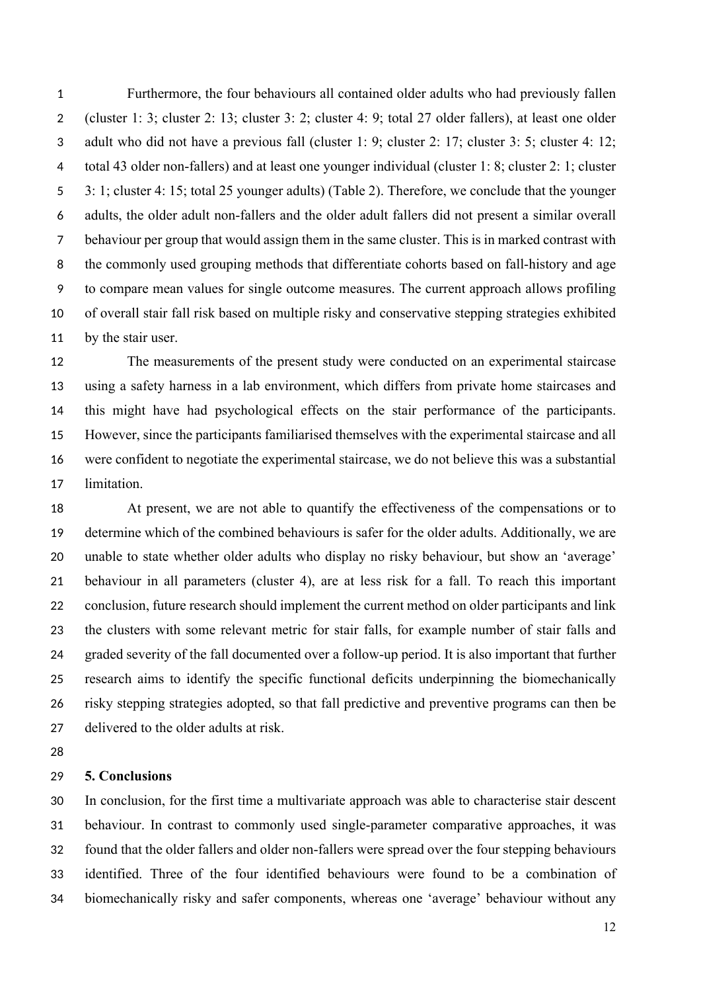Furthermore, the four behaviours all contained older adults who had previously fallen (cluster 1: 3; cluster 2: 13; cluster 3: 2; cluster 4: 9; total 27 older fallers), at least one older adult who did not have a previous fall (cluster 1: 9; cluster 2: 17; cluster 3: 5; cluster 4: 12; total 43 older non-fallers) and at least one younger individual (cluster 1: 8; cluster 2: 1; cluster 3: 1; cluster 4: 15; total 25 younger adults) (Table 2). Therefore, we conclude that the younger adults, the older adult non-fallers and the older adult fallers did not present a similar overall behaviour per group that would assign them in the same cluster. This is in marked contrast with the commonly used grouping methods that differentiate cohorts based on fall-history and age to compare mean values for single outcome measures. The current approach allows profiling of overall stair fall risk based on multiple risky and conservative stepping strategies exhibited by the stair user.

 The measurements of the present study were conducted on an experimental staircase using a safety harness in a lab environment, which differs from private home staircases and this might have had psychological effects on the stair performance of the participants. However, since the participants familiarised themselves with the experimental staircase and all were confident to negotiate the experimental staircase, we do not believe this was a substantial limitation.

 At present, we are not able to quantify the effectiveness of the compensations or to determine which of the combined behaviours is safer for the older adults. Additionally, we are unable to state whether older adults who display no risky behaviour, but show an 'average' behaviour in all parameters (cluster 4), are at less risk for a fall. To reach this important conclusion, future research should implement the current method on older participants and link the clusters with some relevant metric for stair falls, for example number of stair falls and graded severity of the fall documented over a follow-up period. It is also important that further research aims to identify the specific functional deficits underpinning the biomechanically risky stepping strategies adopted, so that fall predictive and preventive programs can then be delivered to the older adults at risk.

#### **5. Conclusions**

 In conclusion, for the first time a multivariate approach was able to characterise stair descent behaviour. In contrast to commonly used single-parameter comparative approaches, it was found that the older fallers and older non-fallers were spread over the four stepping behaviours identified. Three of the four identified behaviours were found to be a combination of biomechanically risky and safer components, whereas one 'average' behaviour without any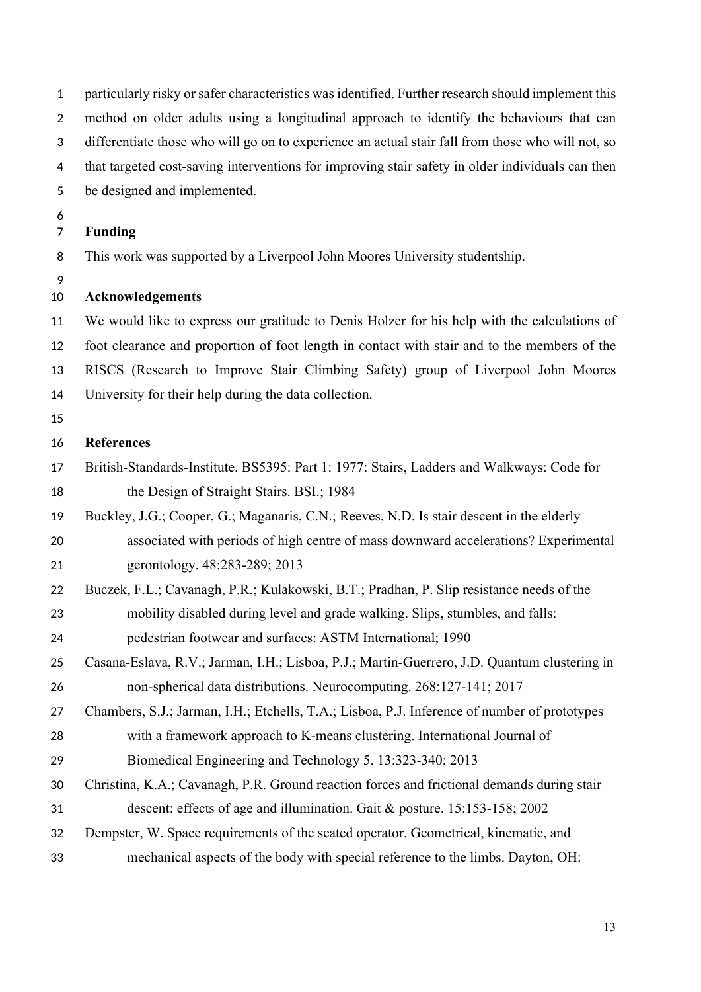particularly risky or safer characteristics was identified. Further research should implement this method on older adults using a longitudinal approach to identify the behaviours that can differentiate those who will go on to experience an actual stair fall from those who will not, so that targeted cost-saving interventions for improving stair safety in older individuals can then be designed and implemented. **Funding** This work was supported by a Liverpool John Moores University studentship. **Acknowledgements**  We would like to express our gratitude to Denis Holzer for his help with the calculations of foot clearance and proportion of foot length in contact with stair and to the members of the RISCS (Research to Improve Stair Climbing Safety) group of Liverpool John Moores University for their help during the data collection. **References** British-Standards-Institute. BS5395: Part 1: 1977: Stairs, Ladders and Walkways: Code for 18 the Design of Straight Stairs. BSI.; 1984 Buckley, J.G.; Cooper, G.; Maganaris, C.N.; Reeves, N.D. Is stair descent in the elderly associated with periods of high centre of mass downward accelerations? Experimental gerontology. 48:283-289; 2013 Buczek, F.L.; Cavanagh, P.R.; Kulakowski, B.T.; Pradhan, P. Slip resistance needs of the mobility disabled during level and grade walking. Slips, stumbles, and falls: pedestrian footwear and surfaces: ASTM International; 1990 Casana-Eslava, R.V.; Jarman, I.H.; Lisboa, P.J.; Martin-Guerrero, J.D. Quantum clustering in non-spherical data distributions. Neurocomputing. 268:127-141; 2017 Chambers, S.J.; Jarman, I.H.; Etchells, T.A.; Lisboa, P.J. Inference of number of prototypes with a framework approach to K-means clustering. International Journal of Biomedical Engineering and Technology 5. 13:323-340; 2013 Christina, K.A.; Cavanagh, P.R. Ground reaction forces and frictional demands during stair descent: effects of age and illumination. Gait & posture. 15:153-158; 2002 Dempster, W. Space requirements of the seated operator. Geometrical, kinematic, and mechanical aspects of the body with special reference to the limbs. Dayton, OH: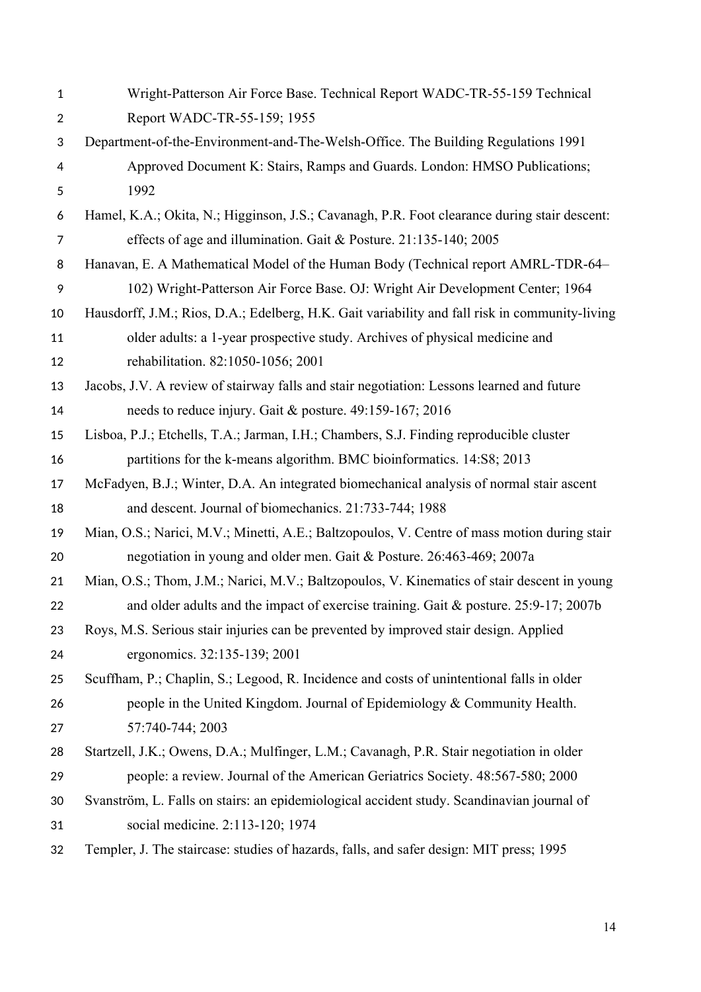| $\mathbf{1}$   | Wright-Patterson Air Force Base. Technical Report WADC-TR-55-159 Technical                     |
|----------------|------------------------------------------------------------------------------------------------|
| $\overline{2}$ | Report WADC-TR-55-159; 1955                                                                    |
| 3              | Department-of-the-Environment-and-The-Welsh-Office. The Building Regulations 1991              |
| 4              | Approved Document K: Stairs, Ramps and Guards. London: HMSO Publications;                      |
| $\mathfrak s$  | 1992                                                                                           |
| 6              | Hamel, K.A.; Okita, N.; Higginson, J.S.; Cavanagh, P.R. Foot clearance during stair descent:   |
| 7              | effects of age and illumination. Gait & Posture. 21:135-140; 2005                              |
| 8              | Hanavan, E. A Mathematical Model of the Human Body (Technical report AMRL-TDR-64–              |
| 9              | 102) Wright-Patterson Air Force Base. OJ: Wright Air Development Center; 1964                  |
| 10             | Hausdorff, J.M.; Rios, D.A.; Edelberg, H.K. Gait variability and fall risk in community-living |
| 11             | older adults: a 1-year prospective study. Archives of physical medicine and                    |
| 12             | rehabilitation. 82:1050-1056; 2001                                                             |
| 13             | Jacobs, J.V. A review of stairway falls and stair negotiation: Lessons learned and future      |
| 14             | needs to reduce injury. Gait & posture. 49:159-167; 2016                                       |
| 15             | Lisboa, P.J.; Etchells, T.A.; Jarman, I.H.; Chambers, S.J. Finding reproducible cluster        |
| 16             | partitions for the k-means algorithm. BMC bioinformatics. 14:S8; 2013                          |
| 17             | McFadyen, B.J.; Winter, D.A. An integrated biomechanical analysis of normal stair ascent       |
| 18             | and descent. Journal of biomechanics. 21:733-744; 1988                                         |
| 19             | Mian, O.S.; Narici, M.V.; Minetti, A.E.; Baltzopoulos, V. Centre of mass motion during stair   |
| 20             | negotiation in young and older men. Gait & Posture. 26:463-469; 2007a                          |
| 21             | Mian, O.S.; Thom, J.M.; Narici, M.V.; Baltzopoulos, V. Kinematics of stair descent in young    |
| 22             | and older adults and the impact of exercise training. Gait & posture. 25:9-17; 2007b           |
| 23             | Roys, M.S. Serious stair injuries can be prevented by improved stair design. Applied           |
| 24             | ergonomics. 32:135-139; 2001                                                                   |
| 25             | Scuffham, P.; Chaplin, S.; Legood, R. Incidence and costs of unintentional falls in older      |
| 26             | people in the United Kingdom. Journal of Epidemiology & Community Health.                      |
| 27             | 57:740-744; 2003                                                                               |
| 28             | Startzell, J.K.; Owens, D.A.; Mulfinger, L.M.; Cavanagh, P.R. Stair negotiation in older       |
| 29             | people: a review. Journal of the American Geriatrics Society. 48:567-580; 2000                 |
| 30             | Svanström, L. Falls on stairs: an epidemiological accident study. Scandinavian journal of      |
| 31             | social medicine. 2:113-120; 1974                                                               |
| 32             | Templer, J. The staircase: studies of hazards, falls, and safer design: MIT press; 1995        |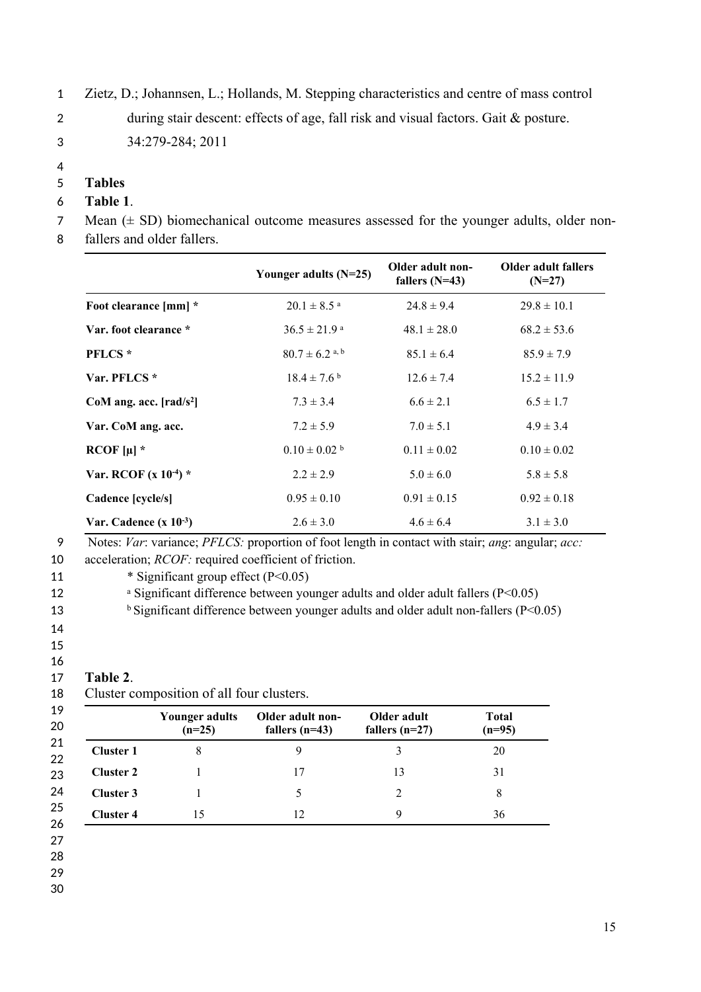1 Zietz, D.; Johannsen, L.; Hollands, M. Stepping characteristics and centre of mass control 2 during stair descent: effects of age, fall risk and visual factors. Gait & posture. 3 34:279-284; 2011

#### 4 5 **Tables**

6 **Table 1**.

7 Mean  $(\pm SD)$  biomechanical outcome measures assessed for the younger adults, older non-8 fallers and older fallers.

|                                              | Younger adults $(N=25)$        | Older adult non-<br>fallers $(N=43)$ | Older adult fallers<br>$(N=27)$ |
|----------------------------------------------|--------------------------------|--------------------------------------|---------------------------------|
| Foot clearance [mm] *                        | $20.1 \pm 8.5$ <sup>a</sup>    | $24.8 \pm 9.4$                       | $29.8 \pm 10.1$                 |
| Var. foot clearance *                        | $36.5 \pm 21.9$ <sup>a</sup>   | $48.1 \pm 28.0$                      | $68.2 \pm 53.6$                 |
| <b>PFLCS</b> *                               | $80.7 \pm 6.2$ <sup>a, b</sup> | $85.1 \pm 6.4$                       | $85.9 \pm 7.9$                  |
| Var. PFLCS *                                 | $18.4 \pm 7.6^{\circ}$         | $12.6 \pm 7.4$                       | $15.2 \pm 11.9$                 |
| CoM ang. acc. $\lceil \text{rad/s}^2 \rceil$ | $7.3 \pm 3.4$                  | $6.6 \pm 2.1$                        | $6.5 \pm 1.7$                   |
| Var. CoM ang. acc.                           | $7.2 \pm 5.9$                  | $7.0 \pm 5.1$                        | $4.9 \pm 3.4$                   |
| $RCOF$ [µ] $*$                               | $0.10 \pm 0.02$ b              | $0.11 \pm 0.02$                      | $0.10 \pm 0.02$                 |
| Var. RCOF (x $10^{-4}$ ) *                   | $2.2 \pm 2.9$                  | $5.0 \pm 6.0$                        | $5.8 \pm 5.8$                   |
| Cadence [cycle/s]                            | $0.95 \pm 0.10$                | $0.91 \pm 0.15$                      | $0.92 \pm 0.18$                 |
| Var. Cadence $(x 10^{-3})$                   | $2.6 \pm 3.0$                  | $4.6 \pm 6.4$                        | $3.1 \pm 3.0$                   |

9 Notes: *Var*: variance; *PFLCS:* proportion of foot length in contact with stair; *ang*: angular; *acc:* 10 acceleration; *RCOF:* required coefficient of friction. 11  $*$  Significant group effect ( $P < 0.05$ )

 $12$ 

<sup>a</sup> Significant difference between younger adults and older adult fallers (P<0.05)

- 13 b Significant difference between younger adults and older adult non-fallers  $(P<0.05)$
- 14
- 15

#### 16 17 **Table 2**.

|                  | Younger adults<br>$(n=25)$ | Older adult non-<br>fallers $(n=43)$ | Older adult<br>fallers $(n=27)$ | <b>Total</b><br>$(n=95)$ |
|------------------|----------------------------|--------------------------------------|---------------------------------|--------------------------|
| <b>Cluster 1</b> | 8                          |                                      |                                 | 20                       |
| <b>Cluster 2</b> |                            |                                      | 13                              | 31                       |
| <b>Cluster 3</b> |                            |                                      |                                 |                          |
| <b>Cluster 4</b> | 15                         |                                      |                                 | 36                       |

18 Cluster composition of all four clusters.

26 27

28

29

30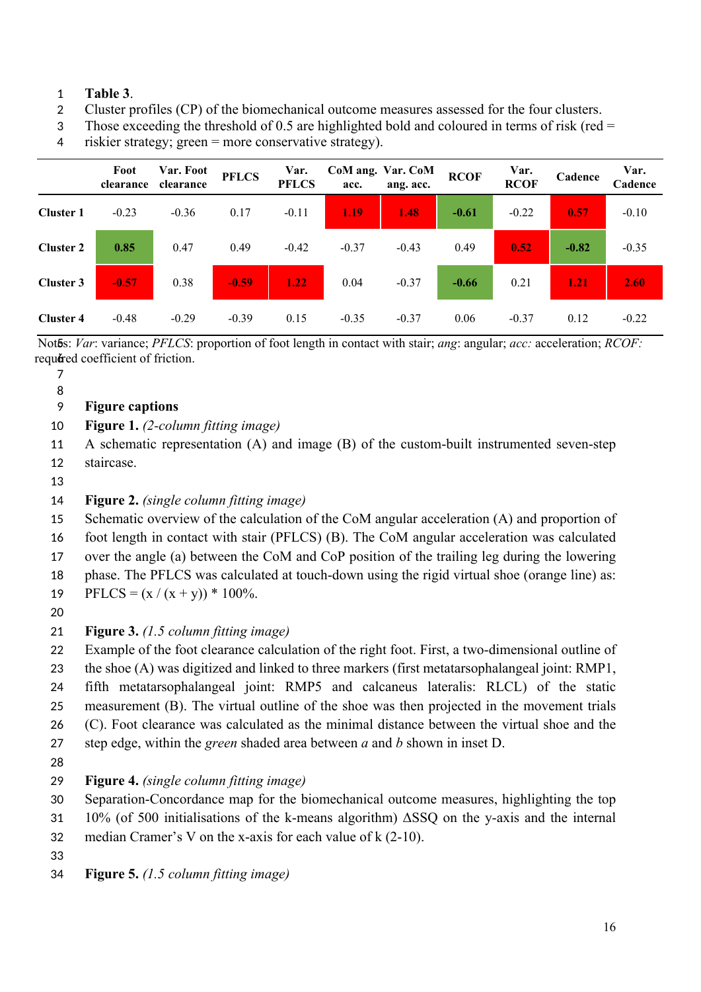## **Table 3**.

- Cluster profiles (CP) of the biomechanical outcome measures assessed for the four clusters.
- Those exceeding the threshold of 0.5 are highlighted bold and coloured in terms of risk (red =

riskier strategy; green = more conservative strategy).

|                  | Foot<br>clearance | Var. Foot<br>clearance | <b>PFLCS</b> | Var.<br><b>PFLCS</b> | acc.    | CoM ang. Var. CoM<br>ang. acc. | <b>RCOF</b> | Var.<br><b>RCOF</b> | Cadence | Var.<br>Cadence |
|------------------|-------------------|------------------------|--------------|----------------------|---------|--------------------------------|-------------|---------------------|---------|-----------------|
| Cluster 1        | $-0.23$           | $-0.36$                | 0.17         | $-0.11$              | 1.19    | 1.48                           | $-0.61$     | $-0.22$             | 0.57    | $-0.10$         |
| <b>Cluster 2</b> | 0.85              | 0.47                   | 0.49         | $-0.42$              | $-0.37$ | $-0.43$                        | 0.49        | 0.52                | $-0.82$ | $-0.35$         |
| Cluster 3        | $-0.57$           | 0.38                   | $-0.59$      | 1.22                 | 0.04    | $-0.37$                        | $-0.66$     | 0.21                | 1.21    | 2.60            |
| <b>Cluster 4</b> | $-0.48$           | $-0.29$                | $-0.39$      | 0.15                 | $-0.35$ | $-0.37$                        | 0.06        | $-0.37$             | 0.12    | $-0.22$         |

Notes: *Var*: variance; *PFLCS*: proportion of foot length in contact with stair; *ang*: angular; *acc*: acceleration; *RCOF*: required coefficient of friction.

 

## **Figure captions**

**Figure 1.** *(2-column fitting image)*

- A schematic representation (A) and image (B) of the custom-built instrumented seven-step staircase.
- 

## **Figure 2.** *(single column fitting image)*

 Schematic overview of the calculation of the CoM angular acceleration (A) and proportion of foot length in contact with stair (PFLCS) (B). The CoM angular acceleration was calculated over the angle (a) between the CoM and CoP position of the trailing leg during the lowering phase. The PFLCS was calculated at touch-down using the rigid virtual shoe (orange line) as:

19 PFLCS =  $(x / (x + y))$  \* 100%.

## **Figure 3.** *(1.5 column fitting image)*

 Example of the foot clearance calculation of the right foot. First, a two-dimensional outline of the shoe (A) was digitized and linked to three markers (first metatarsophalangeal joint: RMP1, fifth metatarsophalangeal joint: RMP5 and calcaneus lateralis: RLCL) of the static measurement (B). The virtual outline of the shoe was then projected in the movement trials (C). Foot clearance was calculated as the minimal distance between the virtual shoe and the step edge, within the *green* shaded area between *a* and *b* shown in inset D.

## **Figure 4.** *(single column fitting image)*

 Separation-Concordance map for the biomechanical outcome measures, highlighting the top 10% (of 500 initialisations of the k-means algorithm) ΔSSQ on the y-axis and the internal

median Cramer's V on the x-axis for each value of k (2-10).

**Figure 5.** *(1.5 column fitting image)*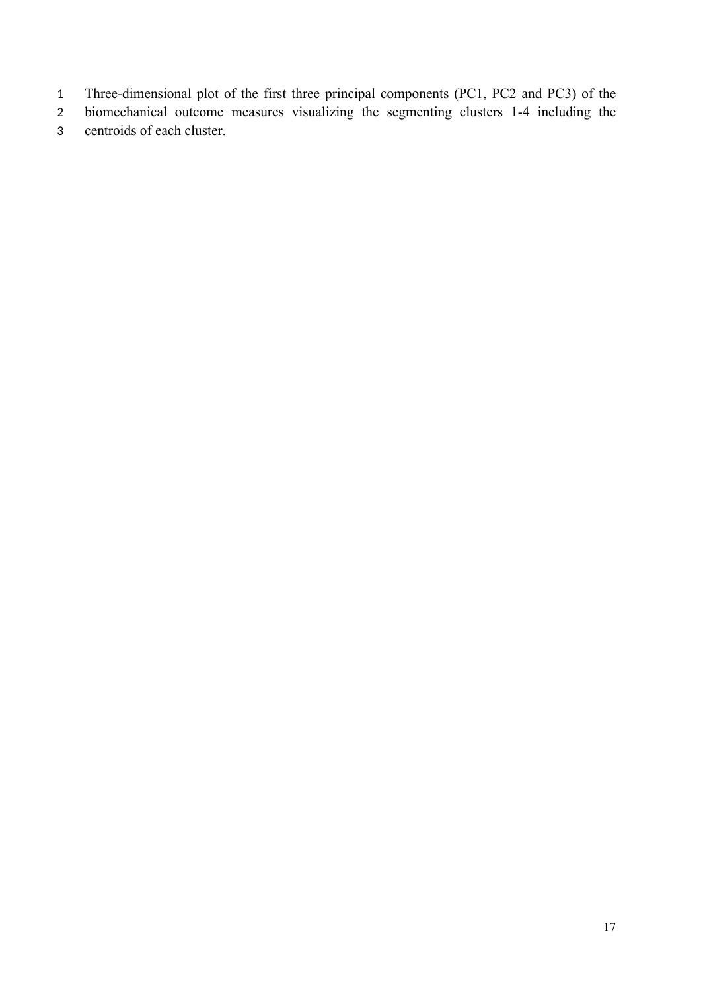- Three-dimensional plot of the first three principal components (PC1, PC2 and PC3) of the
- biomechanical outcome measures visualizing the segmenting clusters 1-4 including the
- centroids of each cluster.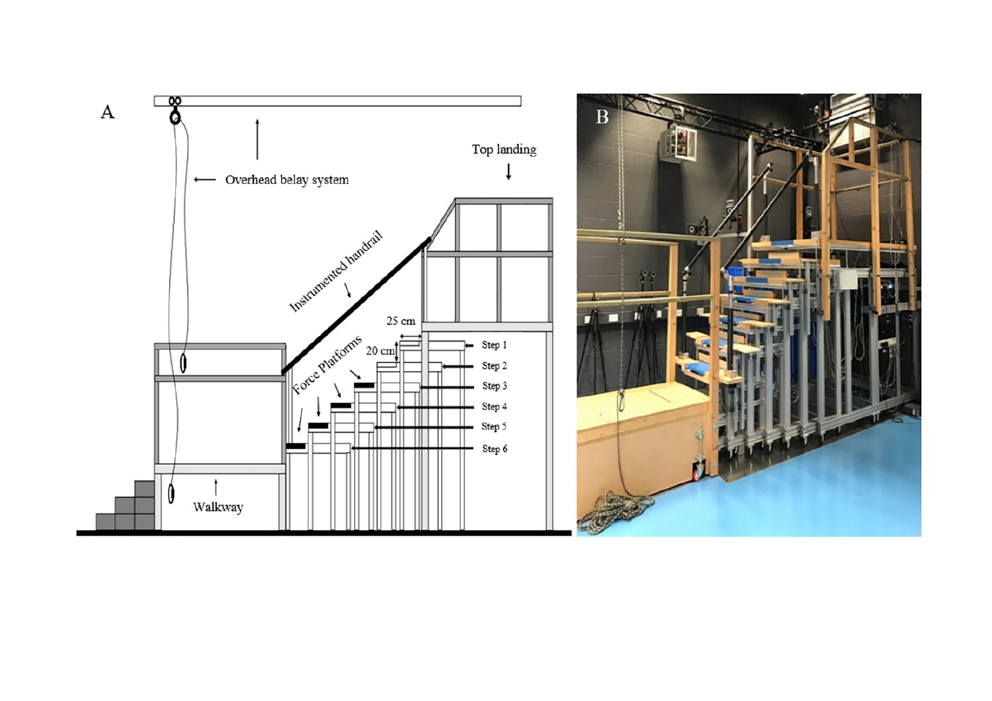

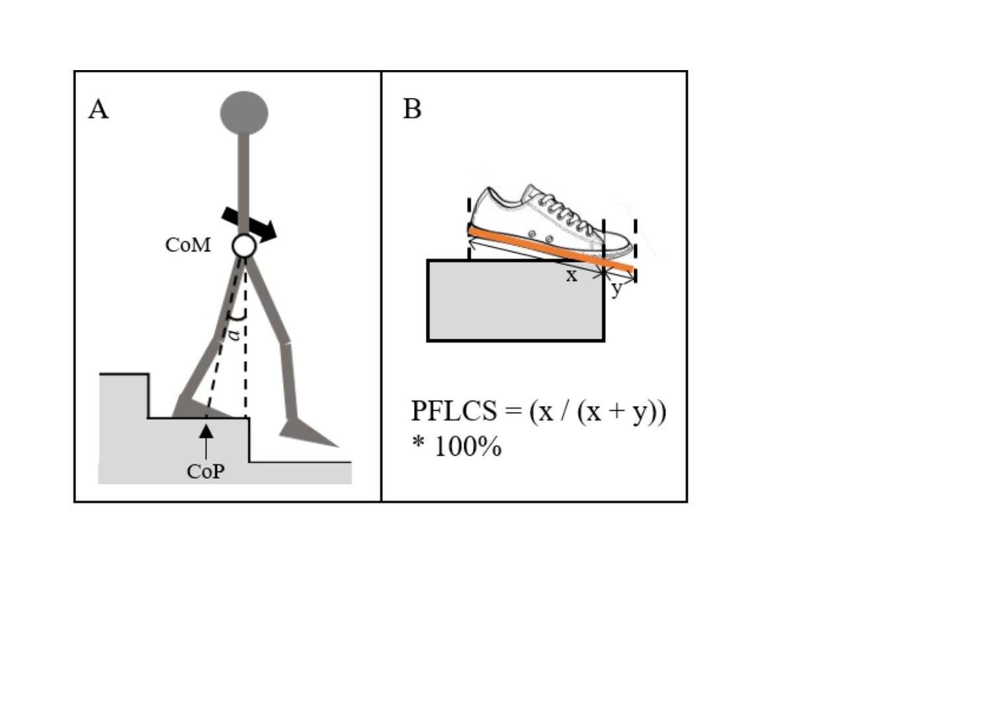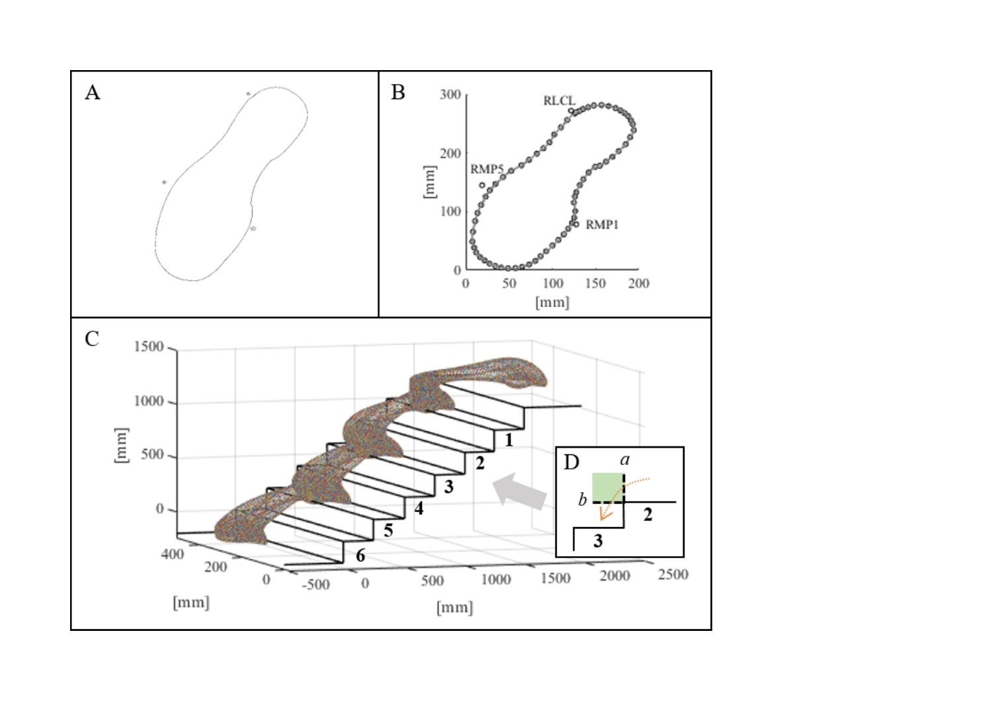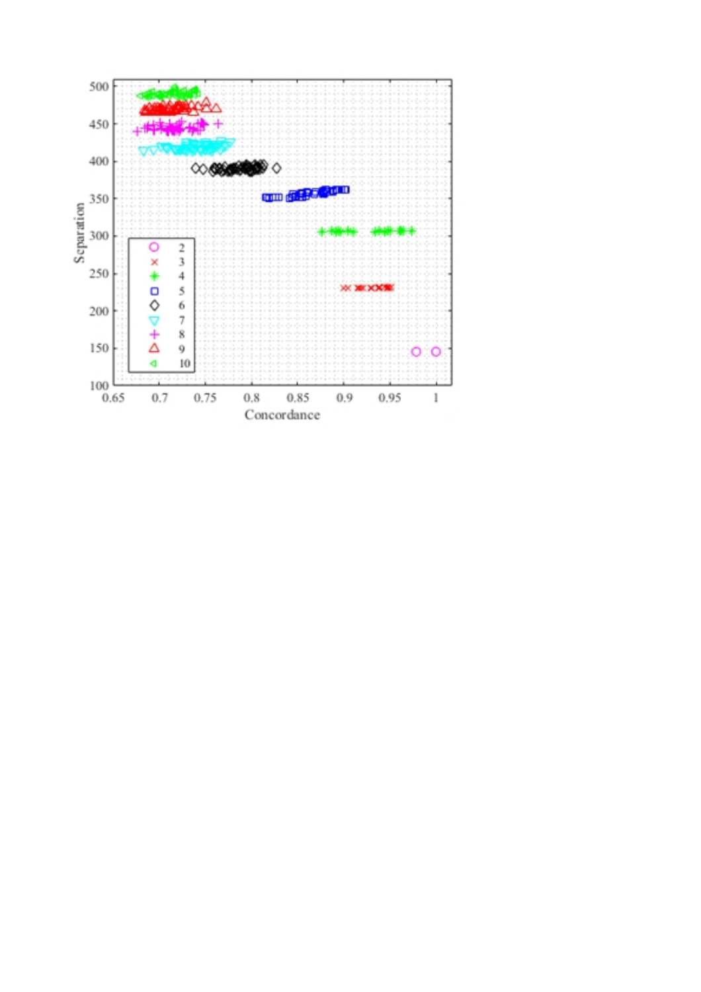